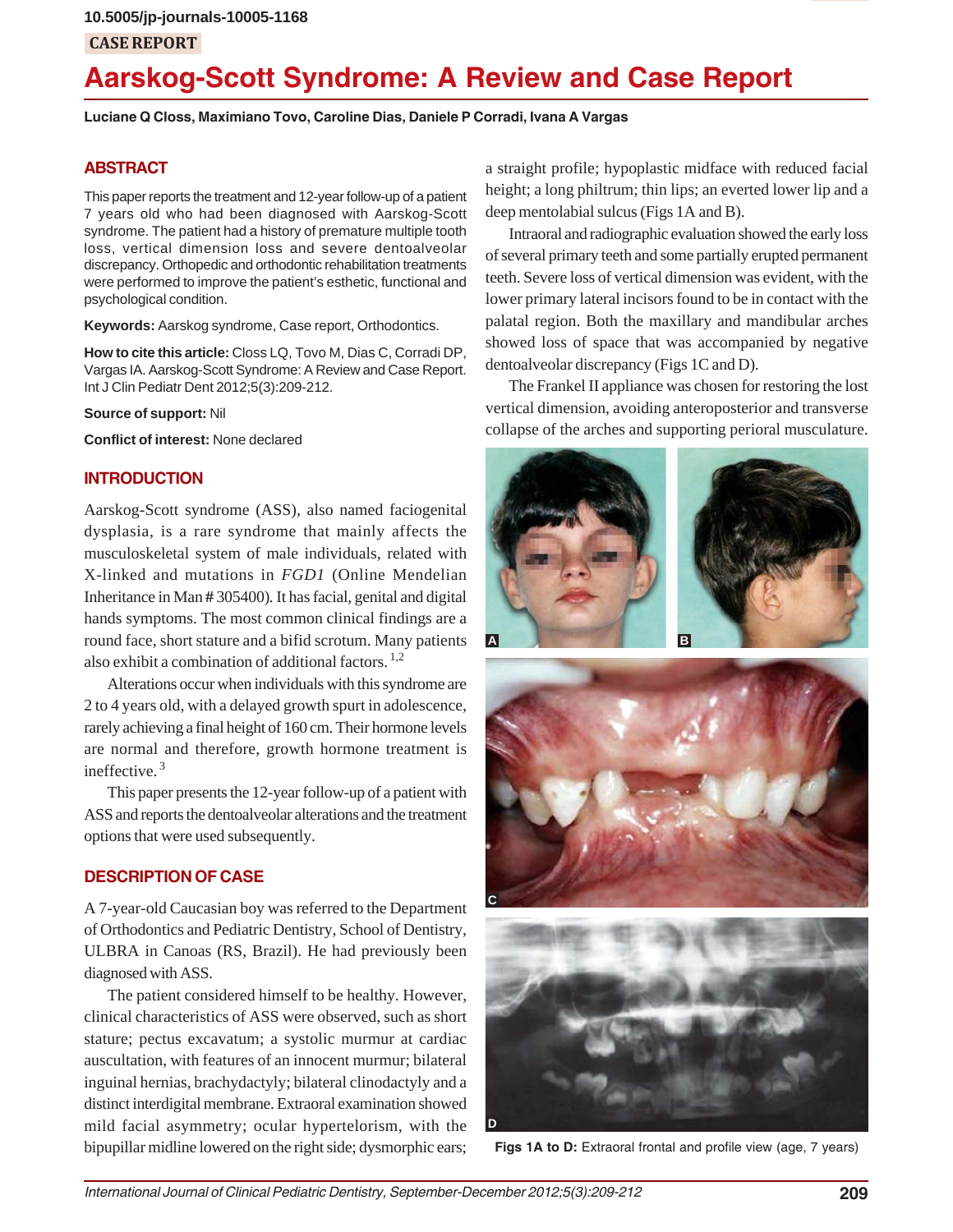## **CASE REPORT**

# **Aarskog-Scott Syndrome: A Review and Case Report**

**Luciane Q Closs, Maximiano Tovo, Caroline Dias, Daniele P Corradi, Ivana A Vargas**

## **ABSTRACT**

This paper reports the treatment and 12-year follow-up of a patient 7 years old who had been diagnosed with Aarskog-Scott syndrome. The patient had a history of premature multiple tooth loss, vertical dimension loss and severe dentoalveolar discrepancy. Orthopedic and orthodontic rehabilitation treatments were performed to improve the patient's esthetic, functional and psychological condition.

**Keywords:** Aarskog syndrome, Case report, Orthodontics.

**How to cite this article:** Closs LQ, Tovo M, Dias C, Corradi DP, Vargas IA. Aarskog-Scott Syndrome: A Review and Case Report. Int J Clin Pediatr Dent 2012;5(3):209-212.

**Source of support:** Nil

**Conflict of interest:** None declared

## **INTRODUCTION**

Aarskog-Scott syndrome (ASS), also named faciogenital dysplasia, is a rare syndrome that mainly affects the musculoskeletal system of male individuals, related with X-linked and mutations in *FGD1* (Online Mendelian Inheritance in Man **#** 305400)*.* It has facial, genital and digital hands symptoms. The most common clinical findings are a round face, short stature and a bifid scrotum. Many patients also exhibit a combination of additional factors. 1,2

Alterations occur when individuals with this syndrome are 2 to 4 years old, with a delayed growth spurt in adolescence, rarely achieving a final height of 160 cm. Their hormone levels are normal and therefore, growth hormone treatment is ineffective. 3

This paper presents the 12-year follow-up of a patient with ASS and reports the dentoalveolar alterations and the treatment options that were used subsequently.

## **DESCRIPTION OF CASE**

A 7-year-old Caucasian boy was referred to the Department of Orthodontics and Pediatric Dentistry, School of Dentistry, ULBRA in Canoas (RS, Brazil). He had previously been diagnosed with ASS.

The patient considered himself to be healthy. However, clinical characteristics of ASS were observed, such as short stature; pectus excavatum; a systolic murmur at cardiac auscultation, with features of an innocent murmur; bilateral inguinal hernias, brachydactyly; bilateral clinodactyly and a distinct interdigital membrane. Extraoral examination showed mild facial asymmetry; ocular hypertelorism, with the bipupillar midline lowered on the right side; dysmorphic ears; a straight profile; hypoplastic midface with reduced facial height; a long philtrum; thin lips; an everted lower lip and a deep mentolabial sulcus (Figs 1A and B).

Intraoral and radiographic evaluation showed the early loss of several primary teeth and some partially erupted permanent teeth. Severe loss of vertical dimension was evident, with the lower primary lateral incisors found to be in contact with the palatal region. Both the maxillary and mandibular arches showed loss of space that was accompanied by negative dentoalveolar discrepancy (Figs 1C and D).

The Frankel II appliance was chosen for restoring the lost vertical dimension, avoiding anteroposterior and transverse collapse of the arches and supporting perioral musculature.









**Figs 1A to D:** Extraoral frontal and profile view (age, 7 years)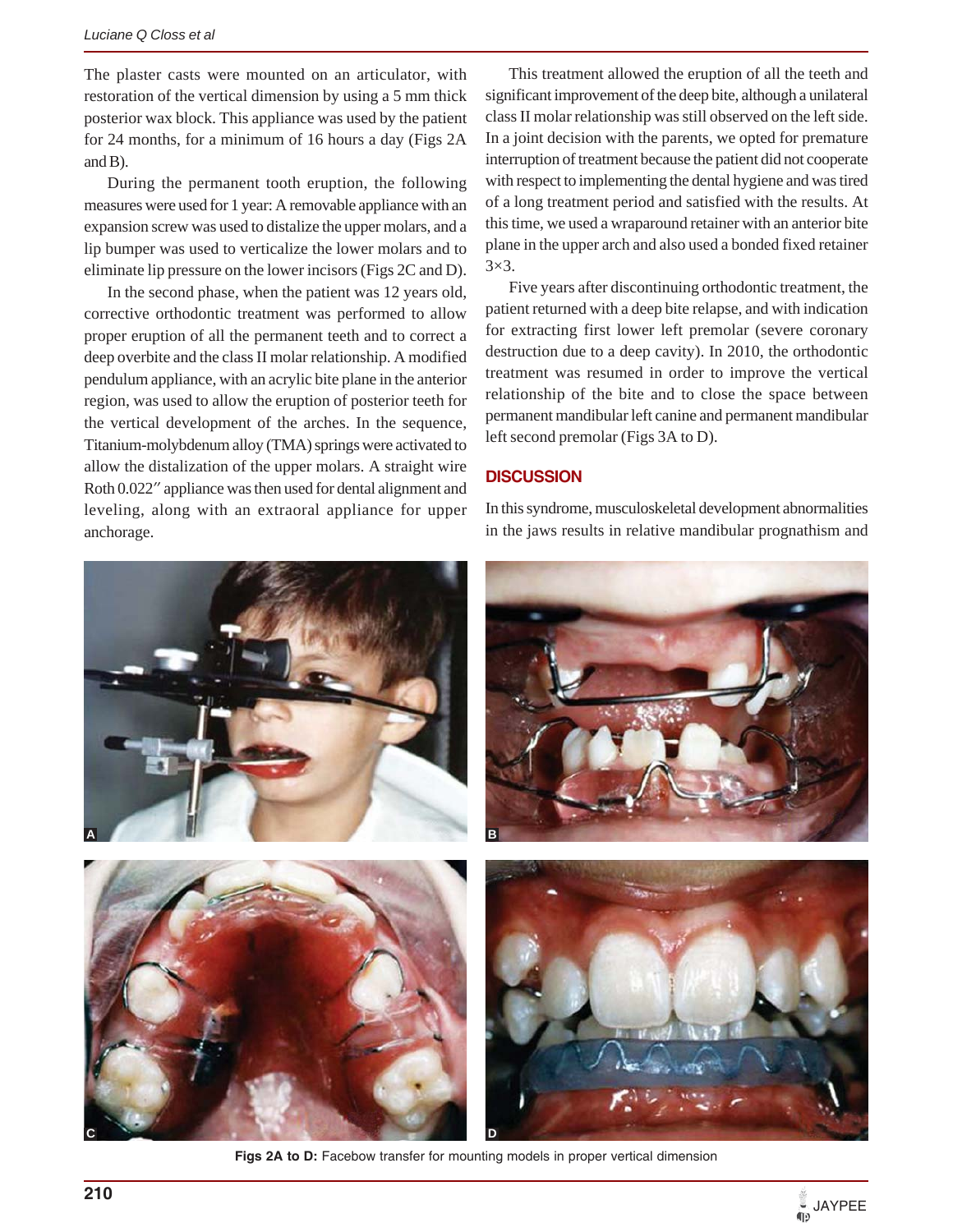The plaster casts were mounted on an articulator, with restoration of the vertical dimension by using a 5 mm thick posterior wax block. This appliance was used by the patient for 24 months, for a minimum of 16 hours a day (Figs 2A and B).

During the permanent tooth eruption, the following measures were used for 1 year: A removable appliance with an expansion screw was used to distalize the upper molars, and a lip bumper was used to verticalize the lower molars and to eliminate lip pressure on the lower incisors (Figs 2C and D).

In the second phase, when the patient was 12 years old, corrective orthodontic treatment was performed to allow proper eruption of all the permanent teeth and to correct a deep overbite and the class II molar relationship. A modified pendulum appliance, with an acrylic bite plane in the anterior region, was used to allow the eruption of posterior teeth for the vertical development of the arches. In the sequence, Titanium-molybdenum alloy (TMA) springs were activated to allow the distalization of the upper molars. A straight wire Roth 0.022" appliance was then used for dental alignment and leveling, along with an extraoral appliance for upper anchorage.

This treatment allowed the eruption of all the teeth and significant improvement of the deep bite, although a unilateral class II molar relationship was still observed on the left side. In a joint decision with the parents, we opted for premature interruption of treatment because the patient did not cooperate with respect to implementing the dental hygiene and was tired of a long treatment period and satisfied with the results. At this time, we used a wraparound retainer with an anterior bite plane in the upper arch and also used a bonded fixed retainer 3×3.

Five years after discontinuing orthodontic treatment, the patient returned with a deep bite relapse, and with indication for extracting first lower left premolar (severe coronary destruction due to a deep cavity). In 2010, the orthodontic treatment was resumed in order to improve the vertical relationship of the bite and to close the space between permanent mandibular left canine and permanent mandibular left second premolar (Figs 3A to D).

#### **DISCUSSION**

In this syndrome, musculoskeletal development abnormalities in the jaws results in relative mandibular prognathism and



Figs 2A to D: Facebow transfer for mounting models in proper vertical dimension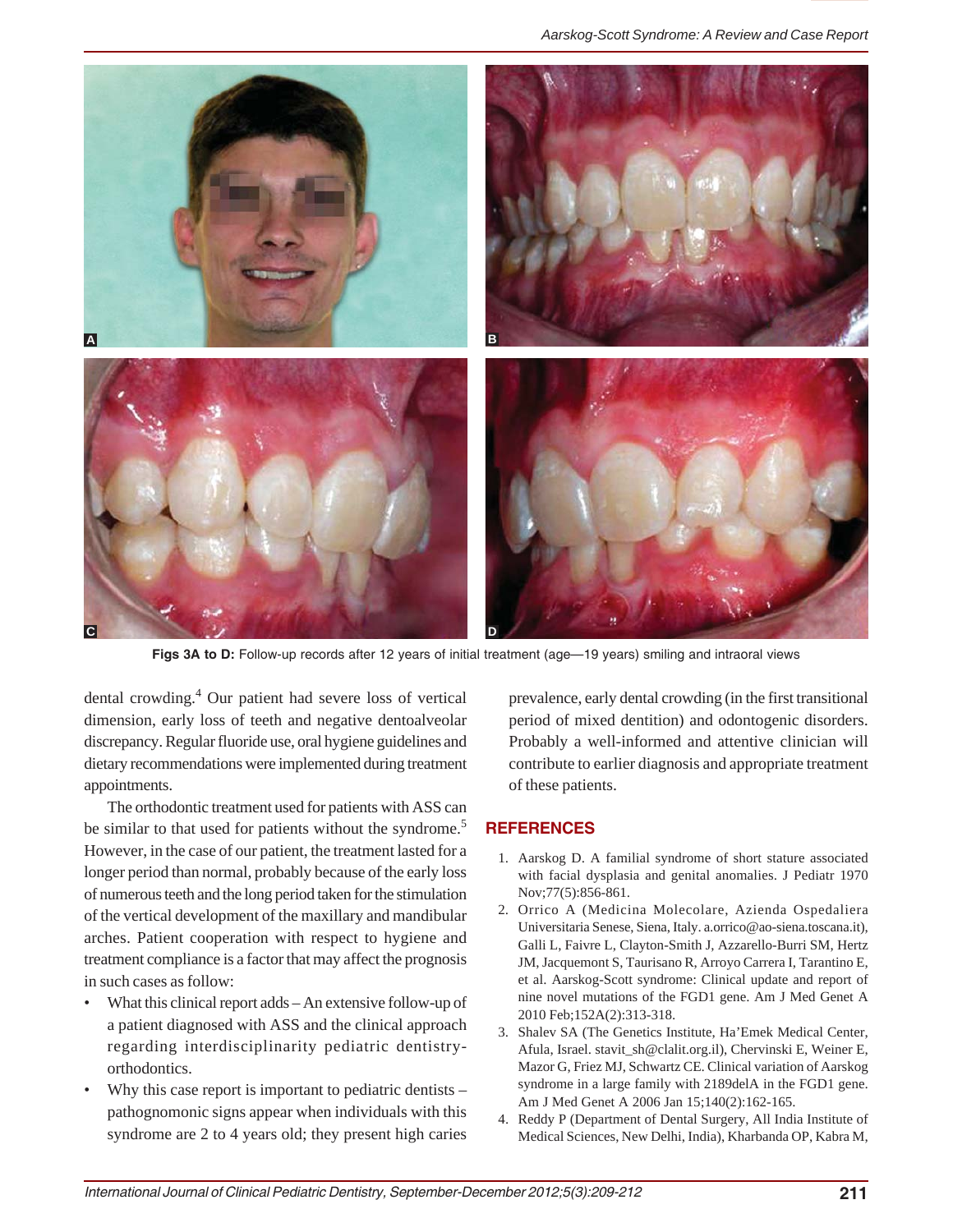

Figs 3A to D: Follow-up records after 12 years of initial treatment (age-19 years) smiling and intraoral views

dental crowding.4 Our patient had severe loss of vertical dimension, early loss of teeth and negative dentoalveolar discrepancy. Regular fluoride use, oral hygiene guidelines and dietary recommendations were implemented during treatment appointments.

The orthodontic treatment used for patients with ASS can be similar to that used for patients without the syndrome.<sup>5</sup> However, in the case of our patient, the treatment lasted for a longer period than normal, probably because of the early loss of numerous teeth and the long period taken for the stimulation of the vertical development of the maxillary and mandibular arches. Patient cooperation with respect to hygiene and treatment compliance is a factor that may affect the prognosis in such cases as follow:

- What this clinical report adds An extensive follow-up of a patient diagnosed with ASS and the clinical approach regarding interdisciplinarity pediatric dentistryorthodontics.
- Why this case report is important to pediatric dentists  $$ pathognomonic signs appear when individuals with this syndrome are 2 to 4 years old; they present high caries

prevalence, early dental crowding (in the first transitional period of mixed dentition) and odontogenic disorders. Probably a well-informed and attentive clinician will contribute to earlier diagnosis and appropriate treatment of these patients.

## **REFERENCES**

- 1. Aarskog D. A familial syndrome of short stature associated with facial dysplasia and genital anomalies. J Pediatr 1970 Nov;77(5):856-861.
- 2. Orrico A (Medicina Molecolare, Azienda Ospedaliera Universitaria Senese, Siena, Italy. a.orrico@ao-siena.toscana.it), Galli L, Faivre L, Clayton-Smith J, Azzarello-Burri SM, Hertz JM, Jacquemont S, Taurisano R, Arroyo Carrera I, Tarantino E, et al. Aarskog-Scott syndrome: Clinical update and report of nine novel mutations of the FGD1 gene. Am J Med Genet A 2010 Feb;152A(2):313-318.
- 3. Shalev SA (The Genetics Institute, Ha'Emek Medical Center, Afula, Israel. stavit\_sh@clalit.org.il), Chervinski E, Weiner E, Mazor G, Friez MJ, Schwartz CE. Clinical variation of Aarskog syndrome in a large family with 2189delA in the FGD1 gene. Am J Med Genet A 2006 Jan 15;140(2):162-165.
- 4. Reddy P (Department of Dental Surgery, All India Institute of Medical Sciences, New Delhi, India), Kharbanda OP, Kabra M,